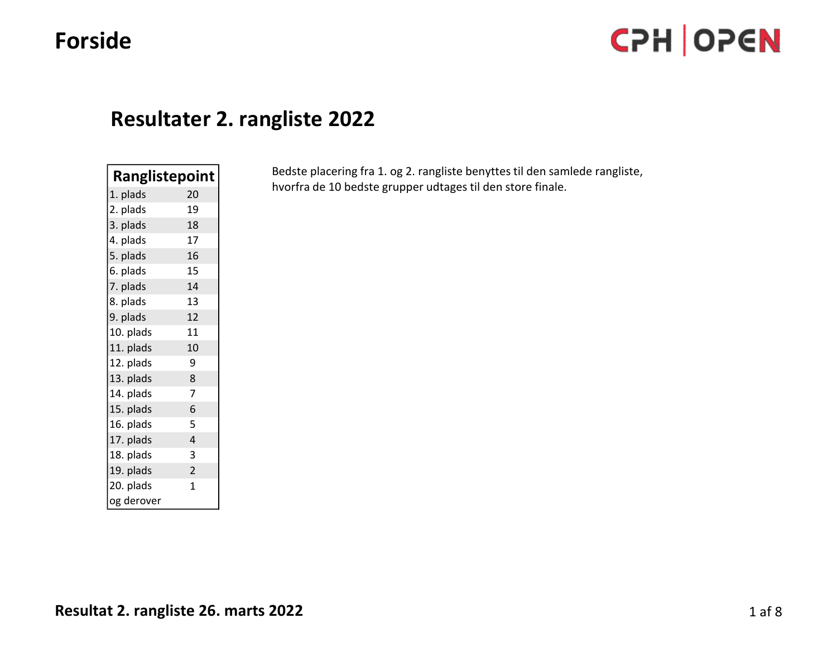# Forside

# Resultater 2. rangliste 2022

| <b>Ranglistepoint</b> |                |
|-----------------------|----------------|
| 1. plads              | 20             |
| 2. plads              | 19             |
| 3. plads              | 18             |
| 4. plads              | 17             |
| 5. plads              | 16             |
| 6. plads              | 15             |
| 7. plads              | 14             |
| 8. plads              | 13             |
| 9. plads              | 12             |
| 10. plads             | 11             |
| 11. plads             | 10             |
| 12. plads             | 9              |
| 13. plads             | 8              |
| 14. plads             | 7              |
| 15. plads             | 6              |
| 16. plads             | 5              |
| 17. plads             | 4              |
| 18. plads             | 3              |
| 19. plads             | $\overline{c}$ |
| 20. plads             | 1              |
| og derover            |                |

**Resultater 2. rangliste 2022**<br> **Ranglistepoint**<br> **Ranglistepoint**<br> **Ranglistepoint**<br> **Bedste placering fra 1. og 2. rangliste benyttes til den samlede rangliste,<br>
2. plads<br>
1. plads<br>
1. plads<br>
1. plads<br>
1. plads**<br>
1. plad hvorfra de 10 bedste grupper udtages til den store finale.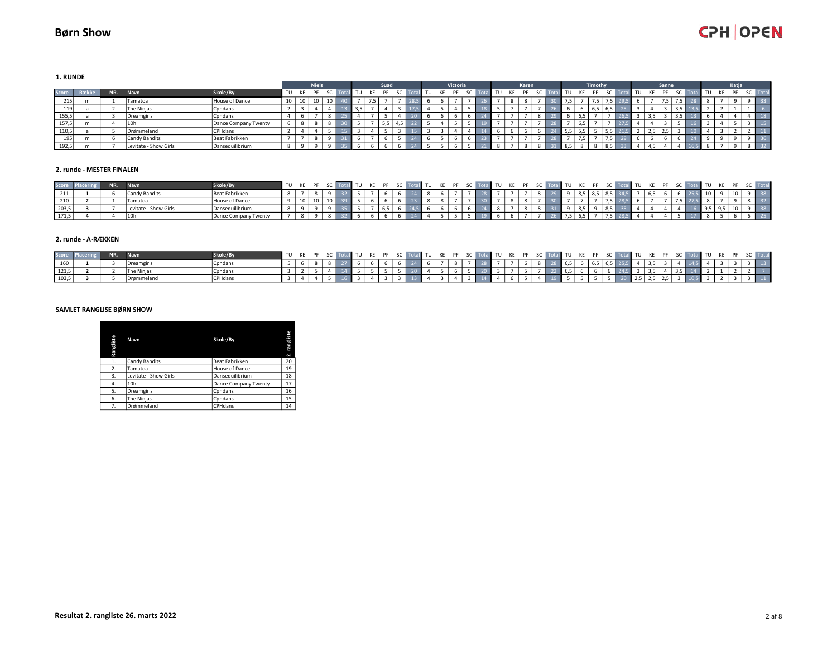1. RUNDE

|       |     |                       |                      |    |    | Niels <sup>1</sup> |  |                | Suad |  |  | Victoria |  |  | Karen |  |      |    | Timothy |                 |    |     | Sanne |  |  | Katia     |  |
|-------|-----|-----------------------|----------------------|----|----|--------------------|--|----------------|------|--|--|----------|--|--|-------|--|------|----|---------|-----------------|----|-----|-------|--|--|-----------|--|
| Score | NR. | Navn                  | Skole/By             | TU | KE | PF                 |  | TU             |      |  |  |          |  |  |       |  | l TU | KE |         | -SC             | TU | KF. | PF    |  |  | <b>DE</b> |  |
| 215   |     | Tamatoa               | House of Dance       | 10 | 10 |                    |  |                |      |  |  |          |  |  |       |  |      |    |         | <b>THE REAL</b> |    |     | $ -$  |  |  |           |  |
| 119   |     | The Ninias            | Cphdans              |    |    |                    |  | 2 <sub>5</sub> |      |  |  |          |  |  |       |  |      |    |         | 6.5             |    |     |       |  |  |           |  |
| 155,5 |     | Dreamgirls            | Cphdans              |    |    |                    |  |                |      |  |  |          |  |  |       |  |      |    |         |                 |    |     |       |  |  |           |  |
| 157,5 |     | 10hi                  | Dance Company Twenty |    |    |                    |  |                |      |  |  |          |  |  |       |  |      |    |         |                 |    |     |       |  |  |           |  |
| 110,5 |     | Drømmeland            | <b>CPHdans</b>       |    |    |                    |  |                |      |  |  |          |  |  |       |  | 5,5  |    |         | 5.5<br>ر رب     |    | 2,3 | درے   |  |  |           |  |
| 195   |     | Candy Bandits         | Beat Fabrikken       |    |    |                    |  |                |      |  |  |          |  |  |       |  |      |    |         | $\sim$ $\sim$   |    |     |       |  |  |           |  |
| 192,5 |     | Levitate - Show Girls | Dansequilibrium      |    |    |                    |  |                |      |  |  |          |  |  |       |  | 8,5  |    |         | 8,5             |    |     |       |  |  |           |  |

#### 2. runde - MESTER FINALEN

|       | <b>NTR</b> | Navn                  | Skole/By             | TU KE PF |  | $\blacksquare$ TII KF |  |  | . |  |  | TU |  |  |  |  |  |  |  |  |      |
|-------|------------|-----------------------|----------------------|----------|--|-----------------------|--|--|---|--|--|----|--|--|--|--|--|--|--|--|------|
|       |            | Candy Bandits         | Beat Fabrikken       |          |  |                       |  |  |   |  |  |    |  |  |  |  |  |  |  |  | 38   |
| 210   |            | Tamatoa               | House of Dance       |          |  |                       |  |  |   |  |  |    |  |  |  |  |  |  |  |  | - 32 |
| 203,5 |            | Levitate - Show Girls | Dansequilibrium      |          |  |                       |  |  |   |  |  |    |  |  |  |  |  |  |  |  | 38   |
| 171,5 |            | 10hi                  | Dance Company Twenty |          |  |                       |  |  |   |  |  |    |  |  |  |  |  |  |  |  | 25   |

#### 2. runde - A-RÆKKEN

|       | NR. | kole/By         |  |  |  |  |  |  |                                                       |  |  |  |  |  |  |  |  | TU KE PF SC Total TU KE PF SC Total TU KE PF SC Total TU KE PF SC Total TU KE PF SC Total TU KE PF SC Total TU KE PF SC Tota |
|-------|-----|-----------------|--|--|--|--|--|--|-------------------------------------------------------|--|--|--|--|--|--|--|--|------------------------------------------------------------------------------------------------------------------------------|
|       |     | <b>ICphdans</b> |  |  |  |  |  |  | 6 24 6 7 8 7 28 7 7 6 8 28 6 5 6 6 5 6 5 25 5 4 3 5 3 |  |  |  |  |  |  |  |  |                                                                                                                              |
|       |     | <b>ICphdans</b> |  |  |  |  |  |  |                                                       |  |  |  |  |  |  |  |  |                                                                                                                              |
| 103,5 |     |                 |  |  |  |  |  |  | 4 3 4 4 6 5                                           |  |  |  |  |  |  |  |  |                                                                                                                              |

#### SAMLET RANGLISE BØRN SHOW

| Rangliste | Navn                  | Skole/By             | rangliste<br>$\mathbf{N}$ |
|-----------|-----------------------|----------------------|---------------------------|
| 1.        | Candy Bandits         | Beat Fabrikken       | 20                        |
| 2.        | Tamatoa               | House of Dance       | 19                        |
| 3.        | Levitate - Show Girls | Dansequilibrium      | 18                        |
| 4.        | 10hi                  | Dance Company Twenty | 17                        |
| 5.        | Dreamgirls            | Cohdans              | 16                        |
| 6.        | The Ninjas            | Cphdans              | 15                        |
| 7.        | Drømmeland            | CPHdans              | 14                        |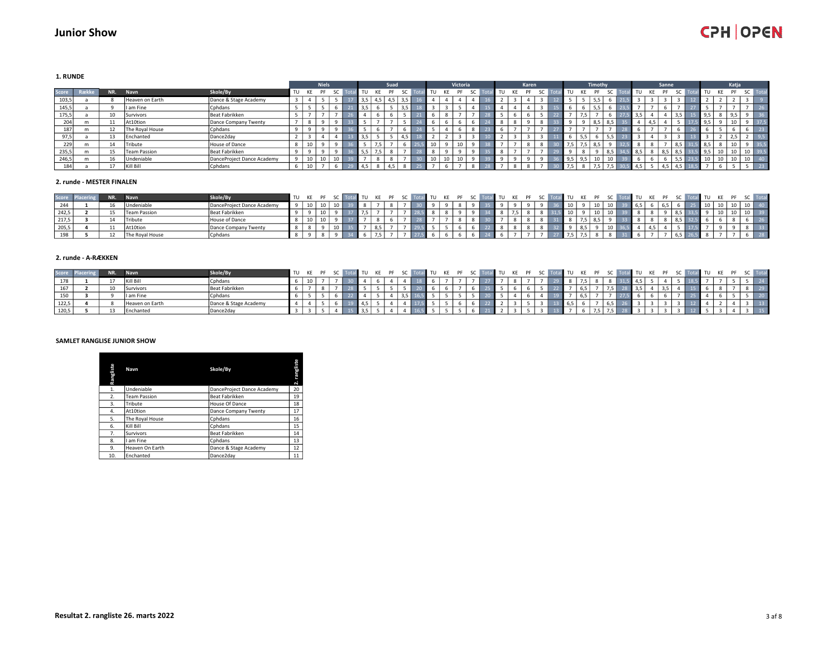1. RUNDE

|       |       |      |                     |                            |       | <b>Niels</b> |                |      |                               | Suad <sup>1</sup> |               |          |    | Victoria                 |     |  |    | Karen |     |           | Timothy |     |     |        | Sanne |     |     |    | Katja           |                       |  |
|-------|-------|------|---------------------|----------------------------|-------|--------------|----------------|------|-------------------------------|-------------------|---------------|----------|----|--------------------------|-----|--|----|-------|-----|-----------|---------|-----|-----|--------|-------|-----|-----|----|-----------------|-----------------------|--|
| Score | Række | NR.  | Navn                | Skole/By                   | TU KE | PF           | -SC            | l TU | KE                            | PF                | - SC          | 'TU      | KE | PF                       | -SC |  | KF | PF    | -SC | KE.<br>TU |         |     | TU  | KE     | PF    |     | TU  | KE | PF              | SC To                 |  |
| 103,5 |       |      | Heaven on Earth     | Dance & Stage Academy      |       |              |                | 3,5  | 4.5                           | 4,5               |               |          |    |                          |     |  |    |       |     |           |         |     |     |        |       |     |     |    |                 |                       |  |
| 145,5 |       |      | I am Fine           | Cphdans                    |       |              |                | 3,5  |                               |                   | $\sim$ $\sim$ |          |    |                          |     |  |    |       |     |           |         |     |     |        |       |     |     |    |                 |                       |  |
| 175,5 |       | 10   | Survivors           | Beat Fabrikken             |       |              |                |      |                               |                   |               |          |    | $\overline{\phantom{a}}$ |     |  |    |       |     |           |         |     |     |        |       |     | 9,5 |    |                 |                       |  |
| 204   | m     |      | At10tion            | Dance Company Twenty       |       |              |                |      |                               |                   |               |          |    |                          |     |  |    |       |     |           |         | o r |     | $\sim$ |       |     | 9,5 |    | $\sim$          |                       |  |
| 187   | m     |      | The Royal House     | Cphdans                    |       |              |                |      |                               |                   |               |          |    |                          |     |  |    |       |     |           |         |     |     |        |       |     |     |    |                 |                       |  |
| Q7 5  |       | 13   | Enchanted           | Dance2day                  |       |              |                | 3,5  |                               |                   |               |          |    |                          |     |  |    |       |     |           |         |     |     |        |       |     |     |    |                 |                       |  |
| 229   |       | - 14 | Tribute             | House of Dance             |       |              |                |      | $\overline{ }$ $\overline{ }$ |                   |               | $\Delta$ |    | 10                       |     |  |    |       |     |           |         |     |     |        |       | 8,5 | 8.5 |    | $\sim$          |                       |  |
| 235,5 | m     | 15   | <b>Team Passion</b> | Beat Fabrikken             |       |              |                | 5,5  |                               |                   |               |          |    |                          |     |  |    |       |     |           |         |     | 8.5 |        | د,ه   | 8,5 |     |    | 10 <sub>1</sub> | $10 \mid 3$           |  |
| 246,5 | m     | 16   | Undeniable          | DanceProject Dance Academy |       | $\sim$       | $\overline{A}$ |      |                               |                   |               | - -      |    | 10                       |     |  |    |       |     | 9,5       |         |     |     |        |       |     |     |    | $\sim$          | 10 <sup>1</sup><br>πU |  |
| 184   |       |      | Kill Bill           | Cphdans                    |       |              |                |      |                               |                   |               |          |    |                          |     |  |    |       |     |           |         |     |     |        |       |     |     |    |                 |                       |  |

#### 2. runde - MESTER FINALEN

| Score |  | Navn            | Skole/By                   | TII KF |  |  |  |  |  |  |  |  |    |   |   |  |  |    |  |           |
|-------|--|-----------------|----------------------------|--------|--|--|--|--|--|--|--|--|----|---|---|--|--|----|--|-----------|
| 244   |  | Undeniable      | DanceProject Dance Academy |        |  |  |  |  |  |  |  |  | 10 | ᅩ | ∸ |  |  | πU |  |           |
| 242,5 |  | Team Passion    | Beat Fabrikken             |        |  |  |  |  |  |  |  |  | 10 | ᅩ | ∸ |  |  |    |  |           |
| 217,5 |  | Tribute         | House of Dance             |        |  |  |  |  |  |  |  |  |    |   |   |  |  |    |  |           |
| 205,5 |  | At10tion        | Dance Company Twenty       |        |  |  |  |  |  |  |  |  |    |   | ∸ |  |  |    |  |           |
| 198   |  | The Royal House | Cphdans                    |        |  |  |  |  |  |  |  |  |    |   |   |  |  |    |  | <b>28</b> |

#### 2. runde - A-RÆKKEN

| Score |  | Navn            | Skole/By              | ITU KE PF |  |       | TU KE PF SC |  |  | $\overline{M}$ TII KF |  |  |  | $^{\bullet}$ TU |  |  |  |  | TU KE PF SC |  |
|-------|--|-----------------|-----------------------|-----------|--|-------|-------------|--|--|-----------------------|--|--|--|-----------------|--|--|--|--|-------------|--|
|       |  | Kill Bill       | Cphdans               |           |  |       |             |  |  |                       |  |  |  |                 |  |  |  |  |             |  |
|       |  | Survivors       | Beat Fabrikken        |           |  |       |             |  |  |                       |  |  |  |                 |  |  |  |  |             |  |
| 150   |  | I am Fine       | Cphdans               |           |  |       |             |  |  |                       |  |  |  |                 |  |  |  |  |             |  |
| 122,5 |  | Heaven on Earth | Dance & Stage Academy |           |  |       |             |  |  |                       |  |  |  |                 |  |  |  |  |             |  |
| 120,5 |  | Enchanted       | Dance2day             |           |  | - 3,5 |             |  |  |                       |  |  |  |                 |  |  |  |  |             |  |

#### SAMLET RANGLISE JUNIOR SHOW

| Rangliste | Navn                | Skole/By                   | rangliste<br>$\overline{N}$ |
|-----------|---------------------|----------------------------|-----------------------------|
| 1.        | Undeniable          | DanceProject Dance Academy | 20                          |
| 2.        | <b>Team Passion</b> | Beat Fabrikken             | 19                          |
| 3.        | Tribute             | House Of Dance             | 18                          |
| 4.        | At10tion            | Dance Company Twenty       | 17                          |
| 5.        | The Royal House     | Cphdans                    | 16                          |
| 6.        | Kill Bill           | Cphdans                    | 15                          |
| 7.        | Survivors           | Beat Fabrikken             | 14                          |
| 8.        | I am Fine           | Cphdans                    | 13                          |
| 9.        | Heaven On Earth     | Dance & Stage Academy      | 12                          |
| 10.       | Enchanted           | Dance2dav                  | 11                          |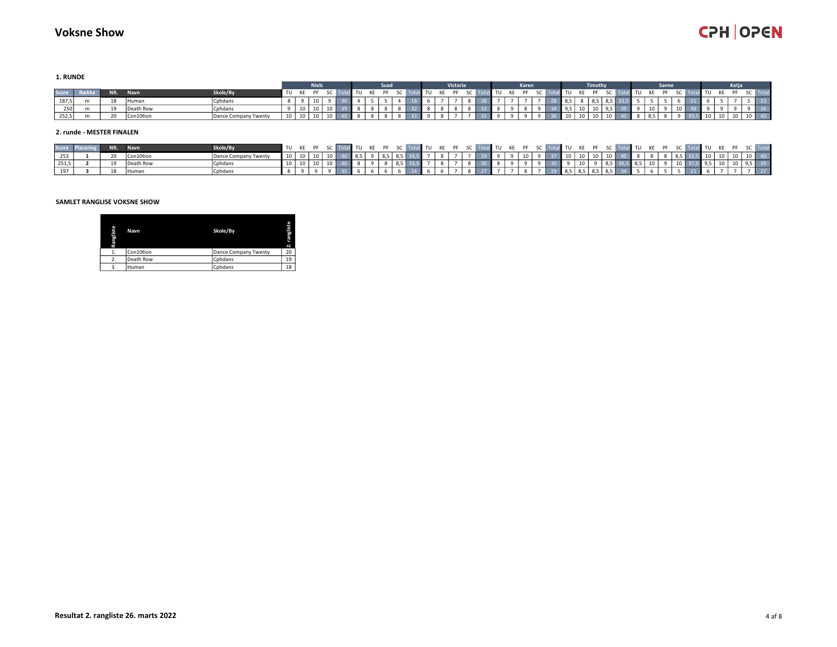1. RUNDE

|       |             |     |              |                      |             |    | <b>Niels</b>    |  |  | Suad |  |  | <b>Victoria</b> |  |            | Karen |       |                   |           | Timothy     |                        |       |      |           | Sanne |  |    |      | Katia                |  |
|-------|-------------|-----|--------------|----------------------|-------------|----|-----------------|--|--|------|--|--|-----------------|--|------------|-------|-------|-------------------|-----------|-------------|------------------------|-------|------|-----------|-------|--|----|------|----------------------|--|
|       | Score Række | NR. | Navn         | Skole/By             | TU KE PF SC |    |                 |  |  |      |  |  |                 |  | I TU KE PF |       | SC To | <b>I</b> TU       | <b>KE</b> | <b>DE</b>   | $\mathsf{c}\mathsf{c}$ |       | ੋ τυ | <b>KE</b> |       |  | .  |      | <b>DE</b>            |  |
| 187,5 |             | 19  | <b>Human</b> | Cphdans              |             |    | 10              |  |  |      |  |  |                 |  |            |       |       | 8,5               |           | $8,5$ 8,5 k |                        |       |      |           |       |  |    |      |                      |  |
| 250   |             | ᅩ   | Death Row    | Cphdans              |             |    |                 |  |  |      |  |  |                 |  |            |       |       |                   |           |             |                        |       |      |           |       |  |    |      |                      |  |
| 252,5 |             | 20  | Con10tion    | Dance Company Twenty | 10          | 10 | 10 <sup>1</sup> |  |  |      |  |  |                 |  |            |       |       | $\blacksquare$ 10 |           |             |                        | 10 40 |      |           |       |  | 10 | 10 J | $10 \mid 10 \mid 40$ |  |

#### 2. runde - MESTER FINALEN

|       |  | skole/By             |  | ITU KE PF                       |  | al TIL KE PE SC Total |  |  | al TII KE DE |  |  |                  |  |                      |                      |  |  | KE PF SC Total TU KE PF SC Total TU KE PF SC Total TU KE PF SC Total TU KE PF SC To |                                                                      |  |  |
|-------|--|----------------------|--|---------------------------------|--|-----------------------|--|--|--------------|--|--|------------------|--|----------------------|----------------------|--|--|-------------------------------------------------------------------------------------|----------------------------------------------------------------------|--|--|
|       |  | Dance Company Twenty |  | 10 10 10 10 40 8.5 9 8.5 8.5 34 |  |                       |  |  |              |  |  | $9 \mid 10 \mid$ |  | $9 \t37 \t10 \t10$ . | $10 \mid 10 \mid 40$ |  |  |                                                                                     | $\blacksquare$ 10 $\blacksquare$ 10 $\blacksquare$ 10 $\blacksquare$ |  |  |
| 251,5 |  | Cphdans              |  |                                 |  |                       |  |  |              |  |  |                  |  |                      |                      |  |  |                                                                                     |                                                                      |  |  |
|       |  | Cohdans              |  |                                 |  |                       |  |  |              |  |  |                  |  | l 8.5 l              |                      |  |  |                                                                                     |                                                                      |  |  |

#### SAMLET RANGLISE VOKSNE SHOW

| Rangliste          | Navn      | Skole/By             | 旨<br>п<br>$\sim$ |
|--------------------|-----------|----------------------|------------------|
| д.                 | Con10tion | Dance Company Twenty | 20               |
| <sup>2</sup><br>z. | Death Row | Cohdans              | 19               |
| 3.                 | Human     | Cphdans              | 18               |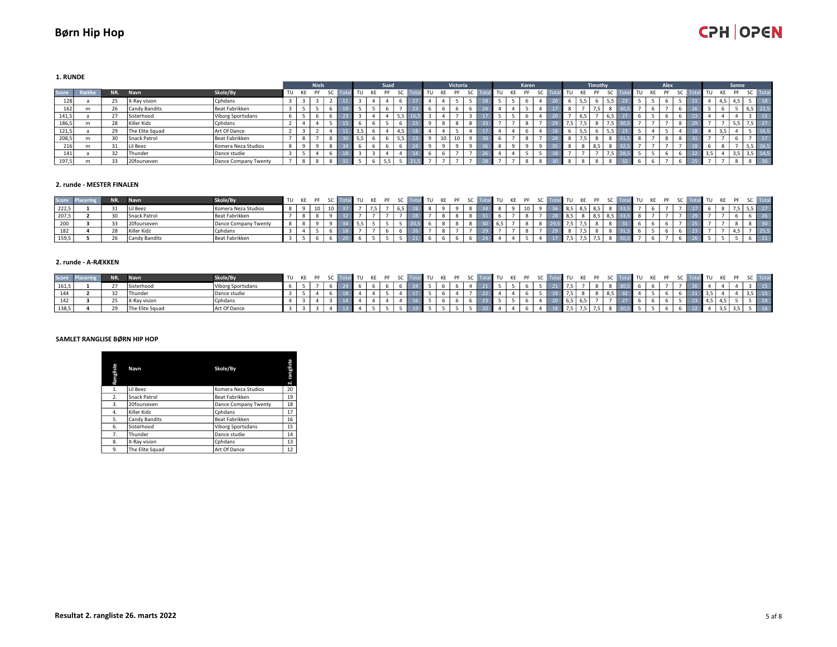1. RUNDE

|       |     |                 |                      |    |    | <b>Niels</b> |  |     |    | Suad |     |    | Victoria |     |      |    |     | Karen |  |    |    | Timothy |        |    |    | Alex. |  |     |     | Sanne |     |      |
|-------|-----|-----------------|----------------------|----|----|--------------|--|-----|----|------|-----|----|----------|-----|------|----|-----|-------|--|----|----|---------|--------|----|----|-------|--|-----|-----|-------|-----|------|
| Score | NR. | Navn            | Skole/By             | TU | KE | PF           |  |     | KE |      |     | TU |          | -SC | ∣ To | TU | KE. | PF    |  | TU | KF | PF      |        | TU | KE | PF    |  |     |     |       |     |      |
| 128   | 25  | X-Ray vision    | Cphdans              |    |    |              |  |     |    |      |     |    |          |     |      |    |     |       |  |    |    |         | כ,כ    |    |    |       |  |     |     |       |     |      |
| 162   | 26  | Candy Bandits   | Beat Fabrikken       |    |    |              |  |     |    |      |     |    |          |     |      |    |     |       |  |    |    |         |        |    |    |       |  |     |     |       | כ,ס |      |
| 141,5 | 27  | Sisterhood      | Viborg Sportsdans    |    |    |              |  |     |    |      |     |    |          |     |      |    |     |       |  |    |    |         | 6,5    |    |    |       |  |     |     |       |     |      |
| 186,5 | 28  | Killer Kidz     | Cphdans              |    |    |              |  |     |    |      |     |    |          |     |      |    |     |       |  |    |    |         | ≔וכ, ⁄ |    |    |       |  |     |     |       | ,,  |      |
| 121,5 | 29  | The Elite Squad | Art Of Dance         |    |    |              |  | 3,5 |    |      |     |    |          |     |      |    |     |       |  |    |    |         | 5,5    |    |    |       |  |     | - - |       |     |      |
| 208,5 | 30  | Snack Patrol    | Beat Fabrikken       |    |    |              |  | 5,5 |    |      | ر ر |    |          |     |      |    |     |       |  |    |    |         |        |    |    |       |  |     |     |       |     |      |
| 216   | 31  | Lil Beez        | Komera Neza Studios  |    |    |              |  |     |    |      |     |    |          |     |      |    |     |       |  |    |    | 8,5     | 8      |    |    |       |  |     |     |       | כ,כ | 26,5 |
| 141   | 32  | Thunder         | Dance studie         |    |    |              |  |     |    |      |     |    |          |     |      |    |     |       |  |    |    |         |        |    |    |       |  | 3,5 |     |       | 3,5 | 14,5 |
| 197,5 | 33  | 20fourseven     | Dance Company Twenty |    |    |              |  |     |    |      |     |    |          |     |      |    |     |       |  |    |    |         |        |    |    |       |  |     |     |       |     |      |

#### 2. runde - MESTER FINALEN

| Score   | NR. | Navn          | Skole/By             | TU KE PF |    |  |  |  |  |  |  | $\blacksquare$ TU KE | $\mathbf{L}$ | il TU |  |  |  |  | $T$ TU . |  |  |
|---------|-----|---------------|----------------------|----------|----|--|--|--|--|--|--|----------------------|--------------|-------|--|--|--|--|----------|--|--|
| 222,5   | 21  | Lil Beez      | Komera Neza Studios  |          | 10 |  |  |  |  |  |  |                      |              |       |  |  |  |  |          |  |  |
| , 207,5 |     | Snack Patrol  | Beat Fabrikken       |          |    |  |  |  |  |  |  |                      |              |       |  |  |  |  |          |  |  |
|         |     | 20fourseven   | Dance Company Twenty |          |    |  |  |  |  |  |  |                      |              |       |  |  |  |  |          |  |  |
| 182     | 28  | Killer Kidz   | Cphdans              |          |    |  |  |  |  |  |  |                      |              |       |  |  |  |  |          |  |  |
| 159,5   | 2b  | Candy Bandits | Beat Fabrikken       |          |    |  |  |  |  |  |  |                      |              |       |  |  |  |  |          |  |  |

#### 2. runde - A-RÆKKEN

| Score P | אויו   | <b>Navn</b>       | Skole/By                 | TU KE PF SC |  |  | KE DE |  |  |  |  |  | I TU KE PF SC Total TU KE PF SC Total TU KF PF SC Total |  |  |  | al TII KE PE |  |  |  | al TU KE PF SC Total |                                                   |
|---------|--------|-------------------|--------------------------|-------------|--|--|-------|--|--|--|--|--|---------------------------------------------------------|--|--|--|--------------|--|--|--|----------------------|---------------------------------------------------|
| 161,5   |        | Sisterhood        | <b>Viborg Sportsdans</b> |             |  |  |       |  |  |  |  |  |                                                         |  |  |  |              |  |  |  |                      |                                                   |
| 144     | 32     | <b>IThunder</b>   | Dance studie             |             |  |  |       |  |  |  |  |  |                                                         |  |  |  |              |  |  |  |                      |                                                   |
| 142     | $\sim$ | X-Ray vision      | Cohdans                  |             |  |  |       |  |  |  |  |  |                                                         |  |  |  |              |  |  |  |                      | $\begin{array}{array}{\array{c}19\\19\end{array}$ |
| 138,5   |        | I The Elite Squad | Art Of Dance             |             |  |  |       |  |  |  |  |  |                                                         |  |  |  |              |  |  |  |                      | 16                                                |

#### SAMLET RANGLISE BØRN HIP HOP

| Rangliste | Navn            | Skole/By             | rangliste<br>$\sim$ |
|-----------|-----------------|----------------------|---------------------|
| 1.        | Lil Beez        | Komera Neza Studios  | 20                  |
| 2.        | Snack Patrol    | Beat Fabrikken       | 19                  |
| 3.        | 20fourseven     | Dance Company Twenty | 18                  |
| 4.        | Killer Kidz     | Cphdans              | 17                  |
| 5.        | Candy Bandits   | Beat Fabrikken       | 16                  |
| 6.        | Sisterhood      | Viborg Sportsdans    | 15                  |
| 7.        | Thunder         | Dance studie         | 14                  |
| 8.        | X-Ray vision    | Cphdans              | 13                  |
| 9.        | The Elite Squad | Art Of Dance         | 12                  |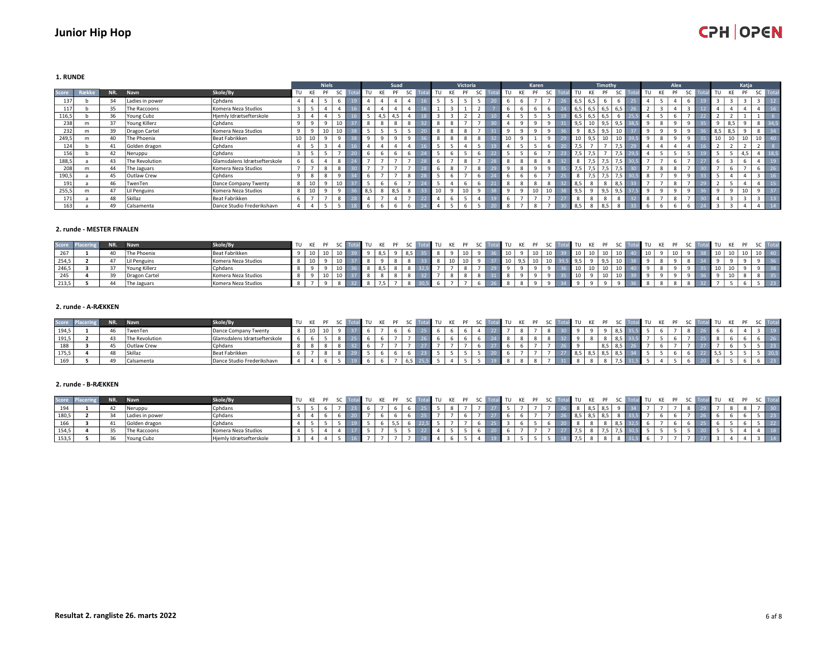1. RUNDE

|       |       |     |                 |                              |                         |    | <b>Niels</b>             |           |     |       | Suad         |    |      |                          | Victoria |           |    | Karen                    |                  |              |                  | Timothy |     |       |   | Alex         |                          |     |     | Katja |        |      |
|-------|-------|-----|-----------------|------------------------------|-------------------------|----|--------------------------|-----------|-----|-------|--------------|----|------|--------------------------|----------|-----------|----|--------------------------|------------------|--------------|------------------|---------|-----|-------|---|--------------|--------------------------|-----|-----|-------|--------|------|
| Score | Række | NR. | Navn            | Skole/By                     | TU KE                   |    | PF                       | <b>SC</b> |     | TU KE | <b>PF</b>    | SC | TU T | KE                       | PF       | <b>SC</b> | TU | KE<br>PF                 | <b>SC</b>        | TU           | KE               | PF      | SC  | TU KE |   | PF           | <b>SC</b>                | TU  | KF  | PF    | SC     | Tota |
| 137   |       | 34  | Ladies in power | Cphdans                      | 4                       |    |                          |           |     |       |              |    |      |                          |          |           |    |                          |                  | 6,5          | 6.5              |         |     |       |   | 4            |                          |     |     |       |        | 12   |
| 117   |       | 35  | The Raccoons    | Komera Neza Studios          |                         |    |                          |           |     |       |              |    |      |                          |          |           |    |                          | 6                | 6,5          | 6,5              | 6,5     | 6,5 |       |   |              |                          |     |     |       |        |      |
| 116,5 |       | 36  | Young Cubz      | Hjemly Idrætsefterskole      | $\overline{\mathbf{3}}$ |    |                          |           |     | 4.5   | 4.5          |    |      | $\sim$                   |          |           |    |                          | 5                | 6,5          | 6.5              | 6.5     |     |       |   | -            | $\overline{\phantom{a}}$ |     |     |       |        |      |
| 238   | m     | 37  | Young Killerz   | Cphdans                      | q                       |    | $\Omega$                 |           |     |       | $\mathbf{R}$ | 8  |      | $\mathbf{8}$             |          |           |    |                          |                  | 9,5          |                  |         |     |       |   |              |                          |     |     |       |        |      |
| 232   | m     | 39  | Dragon Cartel   | Komera Neza Studios          | 9                       |    | 10                       |           |     |       |              |    |      | 8                        |          |           |    |                          |                  |              | 8,5              | 9,5     | 10  |       |   |              |                          | 8,5 | 8,5 |       |        | 34   |
| 249,5 | m     | 40  | The Phoenix     | Beat Fabrikken               | 10                      | 10 |                          |           |     |       |              |    |      | $\mathbf{g}$             |          |           |    |                          |                  | 10           | $9.5$ l          | πU      | 10  |       |   |              |                          | 10  |     |       | 10     |      |
| 124   |       | 41  | Golden dragon   | Cphdans                      |                         |    |                          |           |     |       |              |    |      | к.                       |          |           |    |                          | 6                | 7.5          |                  |         | 7,5 |       |   |              |                          |     |     |       |        |      |
| 156   |       | 42  | Neruppu         | Cphdans                      |                         |    |                          |           |     |       | n            |    |      | 6                        |          |           |    |                          |                  | 7,5          | 7.5 <sub>1</sub> |         | 7,5 |       |   |              |                          |     |     | 4.5   |        |      |
| 188,5 |       | 43  | The Revolution  | Glamsdalens Idrætsefterskole |                         |    |                          |           | -   |       |              |    |      | $\overline{\phantom{a}}$ |          | -         |    | 8                        | 8                | $\mathbf{g}$ | 7.5              | 7 F     | 7,5 |       |   | -            |                          |     |     |       |        | 19   |
| 208   | m     | 44  | The Jaguars     | Komera Neza Studios          |                         |    | 8                        |           |     |       |              |    |      | $\mathbf{8}$             |          |           |    | $\Omega$                 |                  |              |                  |         |     |       |   | $\mathbf{R}$ |                          |     |     |       |        |      |
| 190,5 |       | 45  | Outlaw Crew     | Cphdans                      |                         |    | 8                        |           |     |       | 8            |    |      | 6                        |          |           |    |                          |                  | 8            |                  |         | 7,5 |       |   |              |                          |     |     |       |        | 16   |
| 191   |       | 46  | TwenTen         | Dance Company Twenty         | 8                       | 10 |                          | 10        |     |       |              |    |      |                          |          |           |    | 8                        | 8                | 8,5          | 8                | - 8     | 8,5 |       |   | 8            |                          |     |     |       |        |      |
| 255,5 | m     | 47  | Lil Penguins    | Komera Neza Studios          | 8                       |    | $\Omega$                 |           | 8.5 |       | 8,5          | 8  | 10   |                          |          |           |    | 10 <sub>1</sub>          | 10 <sup>10</sup> | 9,5          |                  |         |     |       |   |              |                          |     |     |       |        |      |
| 171   |       | 48  | Skillaz         | Beat Fabrikken               | 6                       |    | $\overline{\phantom{a}}$ |           |     |       | -            |    |      | 6                        |          |           |    | $\overline{\phantom{a}}$ | -                | 8            |                  |         |     |       | - | 8            | -                        |     |     |       | $\sim$ | 13   |
| 163   |       | 49  | Calsamenta      | Dance Studio Frederikshavn   | 4                       |    |                          |           |     |       |              |    |      | 5                        |          |           |    | 8                        |                  | 8,5          |                  | 8,5     |     |       |   | 6            |                          |     |     |       |        |      |

#### 2. runde - MESTER FINALEN

| Score Pla | NR. | <b>Navn</b>        | Skole/By            | TU KE PF |    |                 |  |  | $\overline{101}$ | TU KE PF SC |  |  | al TU KE PF | SC Total TU KE PF |     |                 |    |      |  |  |  | TU KE PF |  |    |
|-----------|-----|--------------------|---------------------|----------|----|-----------------|--|--|------------------|-------------|--|--|-------------|-------------------|-----|-----------------|----|------|--|--|--|----------|--|----|
| 267       |     | <b>The Phoenix</b> | Beat Fabrikken      |          | 10 |                 |  |  |                  |             |  |  |             | 10 <sup>1</sup>   | 10  | 10 <sub>1</sub> |    |      |  |  |  |          |  |    |
| 254,5     |     | Lil Penguins       | Komera Neza Studios |          |    |                 |  |  |                  |             |  |  |             | $10 \mid 3$       | 9,5 |                 |    |      |  |  |  |          |  |    |
| 246,5     |     | Young Killerz      | Cphdans             |          |    |                 |  |  |                  |             |  |  |             |                   |     |                 |    |      |  |  |  |          |  | 38 |
| 245       |     | Dragon Cartel      | Komera Neza Studios |          |    | 10 <sup>1</sup> |  |  |                  |             |  |  |             |                   | 10  |                 | πU | - 10 |  |  |  |          |  |    |
| 213,5     | A   | The Jaguars        | Komera Neza Studios |          |    |                 |  |  |                  |             |  |  |             |                   |     |                 |    |      |  |  |  |          |  |    |

### 2. runde - A-RÆKKEN

| Score Pla | NR. | Navn            | Skole/By                       | TU KE PF |  |  |  | KE PF SC |  | TU KE PF SC |  | $T$ TU | KE PF |  | اللاتان | KE PF |  |  |  |  | <b>TUKEPF</b> | SC Tota |  |
|-----------|-----|-----------------|--------------------------------|----------|--|--|--|----------|--|-------------|--|--------|-------|--|---------|-------|--|--|--|--|---------------|---------|--|
| 194,5     |     | TwenTen         | Dance Company Twenty           |          |  |  |  |          |  |             |  |        |       |  |         |       |  |  |  |  |               |         |  |
| 191,5     |     | `The Revolution | l Glamsdalens Idrætsefterskole |          |  |  |  |          |  |             |  |        |       |  |         |       |  |  |  |  |               |         |  |
| 188       |     | Outlaw Crew     | Cphdans                        |          |  |  |  |          |  |             |  |        |       |  |         | ິ     |  |  |  |  |               |         |  |
| 175,5     |     | <b>Skillaz</b>  | Beat Fabrikken                 |          |  |  |  |          |  |             |  |        |       |  |         |       |  |  |  |  |               |         |  |
| 169       |     | Calsamenta      | J Dance Studio Frederikshavn   |          |  |  |  |          |  |             |  |        |       |  |         |       |  |  |  |  |               |         |  |

#### 2. runde - B-RÆKKEN

|       | NR. | <b>Navn</b>             | Skole/By                |  |  |  |  |  |  |  | TU KE PF SC Total TU KE PF SC Total TU KE PF SC Total TU KE PF SC Total TU KE PF |  |  |  |  | EN TURKER FRESC |  |  |  |                |
|-------|-----|-------------------------|-------------------------|--|--|--|--|--|--|--|----------------------------------------------------------------------------------|--|--|--|--|-----------------|--|--|--|----------------|
| 194   |     | 'Neruppu                | Cohdans                 |  |  |  |  |  |  |  |                                                                                  |  |  |  |  |                 |  |  |  |                |
| 180,5 |     | Ladies in power         | Cohdans                 |  |  |  |  |  |  |  |                                                                                  |  |  |  |  |                 |  |  |  | $\parallel$ 23 |
| 166   |     | Golden dragon           | <sup>1</sup> Cphdans    |  |  |  |  |  |  |  |                                                                                  |  |  |  |  |                 |  |  |  |                |
| 154,5 |     | The Raccoons            | I Komera Neza Studios   |  |  |  |  |  |  |  |                                                                                  |  |  |  |  |                 |  |  |  | $\vert$ 18     |
| 153,5 |     | <sup>1</sup> Young Cubz | Hjemly Idrætsefterskole |  |  |  |  |  |  |  |                                                                                  |  |  |  |  |                 |  |  |  |                |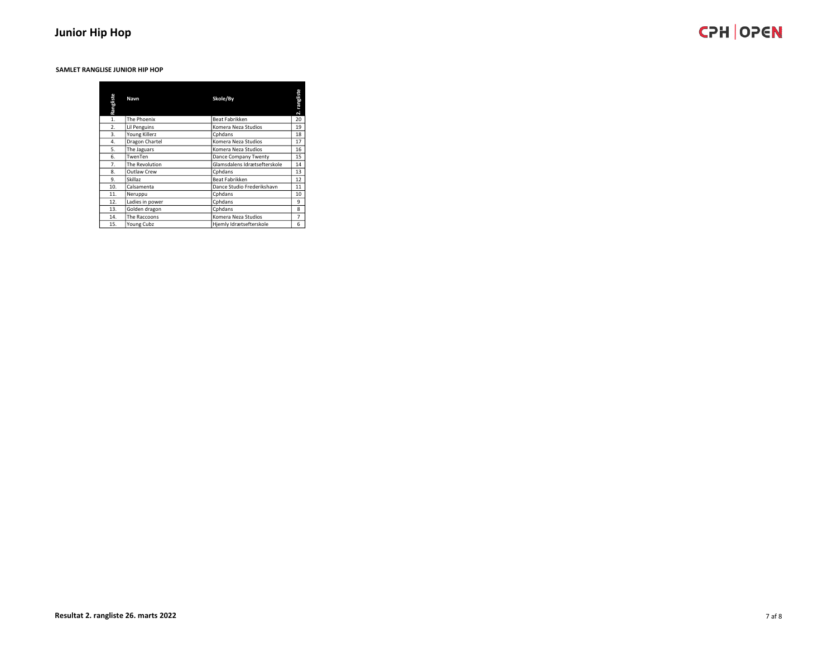#### SAMLET RANGLISE JUNIOR HIP HOP

| Rangliste | Navn            | Skole/By                     | rangliste<br>$\overline{\mathbf{N}}$ |
|-----------|-----------------|------------------------------|--------------------------------------|
| 1.        | The Phoenix     | Beat Fabrikken               | 20                                   |
| 2.        | Lil Penguins    | Komera Neza Studios          | 19                                   |
| 3.        | Young Killerz   | Cphdans                      | 18                                   |
| 4.        | Dragon Chartel  | Komera Neza Studios          | 17                                   |
| 5.        | The Jaguars     | Komera Neza Studios          | 16                                   |
| 6.        | TwenTen         | Dance Company Twenty         | 15                                   |
| 7.        | The Revolution  | Glamsdalens Idrætsefterskole | 14                                   |
| 8.        | Outlaw Crew     | Cphdans                      | 13                                   |
| 9.        | Skillaz         | Beat Fabrikken               | 12                                   |
| 10.       | Calsamenta      | Dance Studio Frederikshavn   | 11                                   |
| 11.       | Neruppu         | Cphdans                      | 10                                   |
| 12.       | Ladies in power | Cohdans                      | 9                                    |
| 13.       | Golden dragon   | Cphdans                      | 8                                    |
| 14.       | The Raccoons    | Komera Neza Studios          | $\overline{7}$                       |
| 15.       | Young Cubz      | Hjemly Idrætsefterskole      | 6                                    |